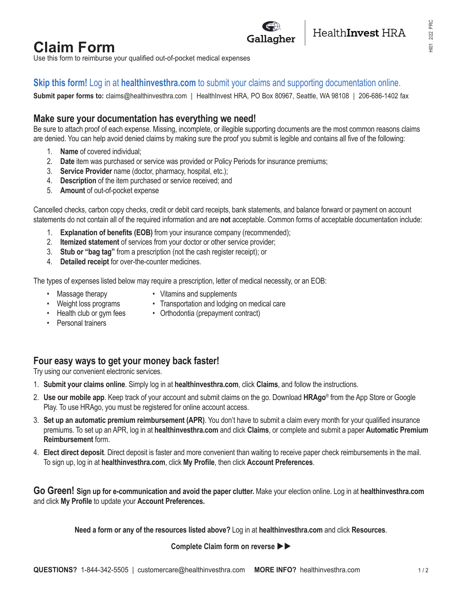# **Claim Form**

Use this form to reimburse your qualified out-of-pocket medical expenses

## **Skip this form!** Log in at **healthinvesthra.com** to submit your claims and supporting documentation online.

**Submit paper forms to:** claims@healthinvesthra.com | HealthInvest HRA, PO Box 80967, Seattle, WA 98108 | 206-686-1402 fax

## **Make sure your documentation has everything we need!**

Be sure to attach proof of each expense. Missing, incomplete, or illegible supporting documents are the most common reasons claims are denied. You can help avoid denied claims by making sure the proof you submit is legible and contains all five of the following:

- 1. **Name** of covered individual;
- 2. **Date** item was purchased or service was provided or Policy Periods for insurance premiums;
- 3. **Service Provider** name (doctor, pharmacy, hospital, etc.);
- 4. **Description** of the item purchased or service received; and
- 5. **Amount** of out-of-pocket expense

Cancelled checks, carbon copy checks, credit or debit card receipts, bank statements, and balance forward or payment on account statements do not contain all of the required information and are **not** acceptable. Common forms of acceptable documentation include:

- 1. **Explanation of benefits (EOB)** from your insurance company (recommended);
- 2. **Itemized statement** of services from your doctor or other service provider;
- 3. **Stub or "bag tag"** from a prescription (not the cash register receipt); or
- 4. **Detailed receipt** for over-the-counter medicines.

The types of expenses listed below may require a prescription, letter of medical necessity, or an EOB:

- 
- Massage therapy Vitamins and supplements
- Weight loss programs Transportation and lodging on medical care
- Health club or gym fees Orthodontia (prepayment contract)
- Personal trainers
	-
- **Four easy ways to get your money back faster!**

Try using our convenient electronic services.

- 1. **Submit your claims online**. Simply log in at **healthinvesthra.com**, click **Claims**, and follow the instructions.
- 2. **Use our mobile app**. Keep track of your account and submit claims on the go. Download **HRAgo**® from the App Store or Google Play. To use HRAgo, you must be registered for online account access.
- 3. **Set up an automatic premium reimbursement (APR)**. You don't have to submit a claim every month for your qualified insurance premiums. To set up an APR, log in at **healthinvesthra.com** and click **Claims**, or complete and submit a paper **Automatic Premium Reimbursement** form.
- 4. **Elect direct deposit**. Direct deposit is faster and more convenient than waiting to receive paper check reimbursements in the mail. To sign up, log in at **healthinvesthra.com**, click **My Profile**, then click **Account Preferences**.

**Go Green! Sign up for e-communication and avoid the paper clutter.** Make your election online. Log in at **healthinvesthra.com** and click **My Profile** to update your **Account Preferences.**

**Need a form or any of the resources listed above?** Log in at **healthinvesthra.com** and click **Resources**.

### **Complete Claim form on reverse >>**

HealthInvest HRA